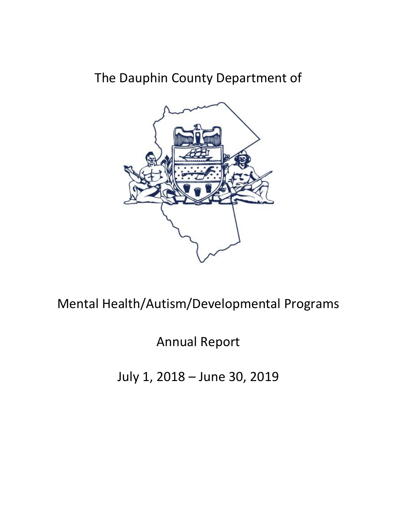# The Dauphin County Department of



Mental Health/Autism/Developmental Programs

Annual Report

July 1, 2018 – June 30, 2019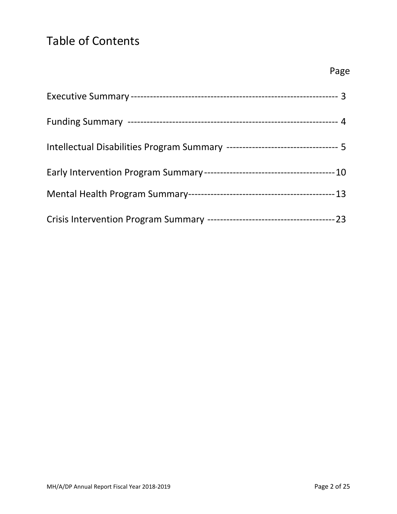## Table of Contents

| Intellectual Disabilities Program Summary ---------------------------------- 5 |  |
|--------------------------------------------------------------------------------|--|
|                                                                                |  |
|                                                                                |  |
|                                                                                |  |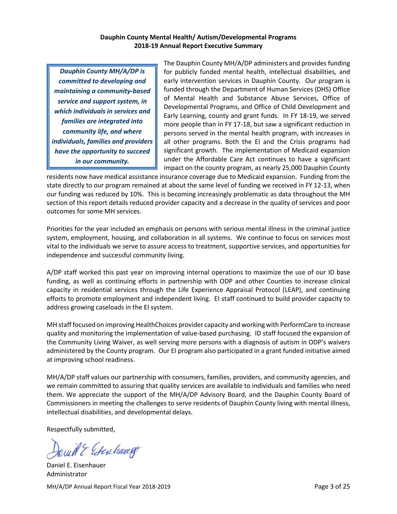### **Dauphin County Mental Health/ Autism/Developmental Programs 2018-19 Annual Report Executive Summary**

*Dauphin County MH/A/DP is committed to developing and maintaining a community-based service and support system, in which individuals in services and families are integrated into community life, and where individuals, families and providers have the opportunity to succeed in our community.*

The Dauphin County MH/A/DP administers and provides funding for publicly funded mental health, intellectual disabilities, and early intervention services in Dauphin County. Our program is funded through the Department of Human Services (DHS) Office of Mental Health and Substance Abuse Services, Office of Developmental Programs, and Office of Child Development and Early Learning, county and grant funds. In FY 18-19, we served more people than in FY 17-18, but saw a significant reduction in persons served in the mental health program, with increases in all other programs. Both the EI and the Crisis programs had significant growth. The implementation of Medicaid expansion under the Affordable Care Act continues to have a significant impact on the county program, as nearly 25,000 Dauphin County

residents now have medical assistance insurance coverage due to Medicaid expansion. Funding from the state directly to our program remained at about the same level of funding we received in FY 12-13, when our funding was reduced by 10%. This is becoming increasingly problematic as data throughout the MH section of this report details reduced provider capacity and a decrease in the quality of services and poor outcomes for some MH services.

Priorities for the year included an emphasis on persons with serious mental illness in the criminal justice system, employment, housing, and collaboration in all systems. We continue to focus on services most vital to the individuals we serve to assure access to treatment, supportive services, and opportunities for independence and successful community living.

A/DP staff worked this past year on improving internal operations to maximize the use of our ID base funding, as well as continuing efforts in partnership with ODP and other Counties to increase clinical capacity in residential services through the Life Experience Appraisal Protocol (LEAP), and continuing efforts to promote employment and independent living. EI staff continued to build provider capacity to address growing caseloads in the EI system.

MH staff focused on improving HealthChoices provider capacity and working with PerformCare to increase quality and monitoring the implementation of value-based purchasing. ID staff focused the expansion of the Community Living Waiver, as well serving more persons with a diagnosis of autism in ODP's waivers administered by the County program. Our EI program also participated in a grant funded initiative aimed at improving school readiness.

MH/A/DP staff values our partnership with consumers, families, providers, and community agencies, and we remain committed to assuring that quality services are available to individuals and families who need them. We appreciate the support of the MH/A/DP Advisory Board, and the Dauphin County Board of Commissioners in meeting the challenges to serve residents of Dauphin County living with mental illness, intellectual disabilities, and developmental delays.

Respectfully submitted,

Quill & Estenhange

MH/A/DP Annual Report Fiscal Year 2018-2019 **Page 3 of 25** and 2018-2019 Daniel E. Eisenhauer Administrator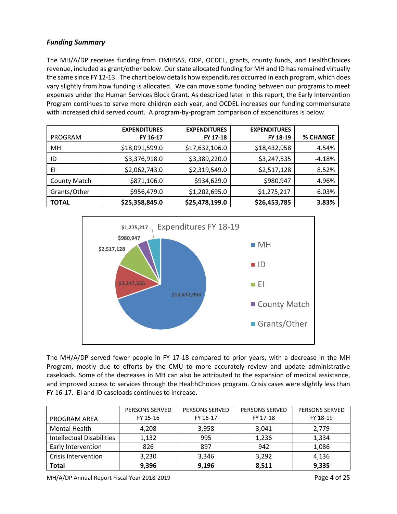## *Funding Summary*

The MH/A/DP receives funding from OMHSAS, ODP, OCDEL, grants, county funds, and HealthChoices revenue, included as grant/other below. Our state allocated funding for MH and ID has remained virtually the same since FY 12-13. The chart below details how expenditures occurred in each program, which does vary slightly from how funding is allocated. We can move some funding between our programs to meet expenses under the Human Services Block Grant. As described later in this report, the Early Intervention Program continues to serve more children each year, and OCDEL increases our funding commensurate with increased child served count. A program-by-program comparison of expenditures is below.

| <b>PROGRAM</b>      | <b>EXPENDITURES</b><br>FY 16-17 | <b>EXPENDITURES</b><br>FY 17-18 | <b>EXPENDITURES</b><br>FY 18-19 | <b>% CHANGE</b> |
|---------------------|---------------------------------|---------------------------------|---------------------------------|-----------------|
| MН                  | \$18,091,599.0                  | \$17,632,106.0                  | \$18,432,958                    | 4.54%           |
| ID                  | \$3,376,918.0                   | \$3,389,220.0                   | \$3,247,535                     | $-4.18%$        |
| EI                  | \$2,062,743.0                   | \$2,319,549.0                   | \$2,517,128                     | 8.52%           |
| <b>County Match</b> | \$871,106.0                     | \$934,629.0                     | \$980,947                       | 4.96%           |
| Grants/Other        | \$956,479.0                     | \$1,202,695.0                   | \$1,275,217                     | 6.03%           |
| <b>TOTAL</b>        | \$25,358,845.0                  | \$25,478,199.0                  | \$26,453,785                    | 3.83%           |



The MH/A/DP served fewer people in FY 17-18 compared to prior years, with a decrease in the MH Program, mostly due to efforts by the CMU to more accurately review and update administrative caseloads. Some of the decreases in MH can also be attributed to the expansion of medical assistance, and improved access to services through the HealthChoices program. Crisis cases were slightly less than FY 16-17. EI and ID caseloads continues to increase.

|                            | <b>PERSONS SERVED</b> | <b>PERSONS SERVED</b> | <b>PERSONS SERVED</b> | <b>PERSONS SERVED</b> |
|----------------------------|-----------------------|-----------------------|-----------------------|-----------------------|
| <b>PROGRAM AREA</b>        | FY 15-16              | FY 16-17              | FY 17-18              | FY 18-19              |
| Mental Health              | 4.208                 | 3,958                 | 3,041                 | 2,779                 |
| Intellectual Disabilities  | 1,132                 | 995                   | 1,236                 | 1,334                 |
| Early Intervention         | 826                   | 897                   | 942                   | 1,086                 |
| <b>Crisis Intervention</b> | 3,230                 | 3,346                 | 3,292                 | 4,136                 |
| <b>Total</b>               | 9,396                 | 9,196                 | 8,511                 | 9,335                 |

MH/A/DP Annual Report Fiscal Year 2018-2019 **Page 4 of 25** and 2018-2019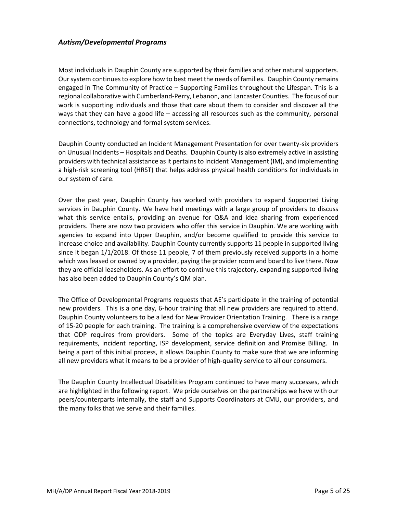## *Autism/Developmental Programs*

Most individuals in Dauphin County are supported by their families and other natural supporters. Our system continues to explore how to best meet the needs of families. Dauphin County remains engaged in The Community of Practice – Supporting Families throughout the Lifespan. This is a regional collaborative with Cumberland-Perry, Lebanon, and Lancaster Counties. The focus of our work is supporting individuals and those that care about them to consider and discover all the ways that they can have a good life – accessing all resources such as the community, personal connections, technology and formal system services.

Dauphin County conducted an Incident Management Presentation for over twenty-six providers on Unusual Incidents – Hospitals and Deaths. Dauphin County is also extremely active in assisting providers with technical assistance as it pertains to Incident Management (IM), and implementing a high-risk screening tool (HRST) that helps address physical health conditions for individuals in our system of care.

Over the past year, Dauphin County has worked with providers to expand Supported Living services in Dauphin County. We have held meetings with a large group of providers to discuss what this service entails, providing an avenue for Q&A and idea sharing from experienced providers. There are now two providers who offer this service in Dauphin. We are working with agencies to expand into Upper Dauphin, and/or become qualified to provide this service to increase choice and availability. Dauphin County currently supports 11 people in supported living since it began 1/1/2018. Of those 11 people, 7 of them previously received supports in a home which was leased or owned by a provider, paying the provider room and board to live there. Now they are official leaseholders. As an effort to continue this trajectory, expanding supported living has also been added to Dauphin County's QM plan.

The Office of Developmental Programs requests that AE's participate in the training of potential new providers. This is a one day, 6-hour training that all new providers are required to attend. Dauphin County volunteers to be a lead for New Provider Orientation Training. There is a range of 15-20 people for each training. The training is a comprehensive overview of the expectations that ODP requires from providers. Some of the topics are Everyday Lives, staff training requirements, incident reporting, ISP development, service definition and Promise Billing. In being a part of this initial process, it allows Dauphin County to make sure that we are informing all new providers what it means to be a provider of high-quality service to all our consumers.

The Dauphin County Intellectual Disabilities Program continued to have many successes, which are highlighted in the following report. We pride ourselves on the partnerships we have with our peers/counterparts internally, the staff and Supports Coordinators at CMU, our providers, and the many folks that we serve and their families.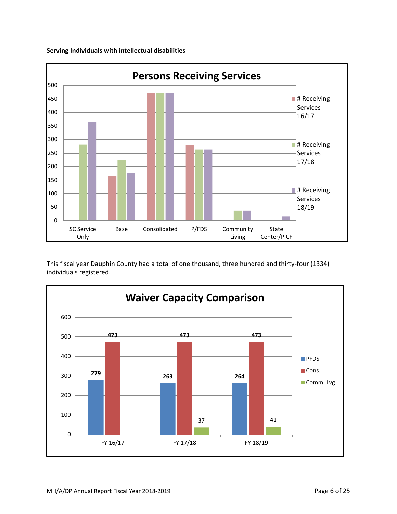

**Serving Individuals with intellectual disabilities**

This fiscal year Dauphin County had a total of one thousand, three hundred and thirty-four (1334) individuals registered.

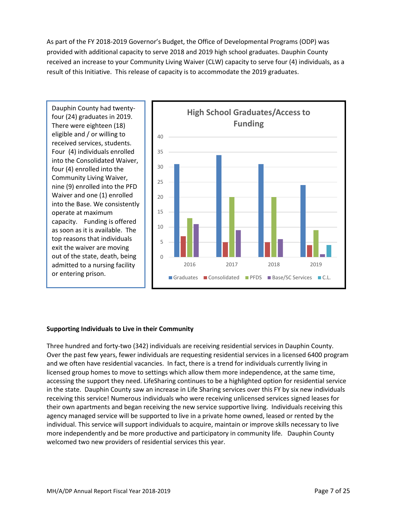As part of the FY 2018-2019 Governor's Budget, the Office of Developmental Programs (ODP) was provided with additional capacity to serve 2018 and 2019 high school graduates. Dauphin County received an increase to your Community Living Waiver (CLW) capacity to serve four (4) individuals, as a result of this Initiative. This release of capacity is to accommodate the 2019 graduates.

Dauphin County had twentyfour (24) graduates in 2019. There were eighteen (18) eligible and / or willing to received services, students. Four (4) individuals enrolled into the Consolidated Waiver, four (4) enrolled into the Community Living Waiver, nine (9) enrolled into the PFD Waiver and one (1) enrolled into the Base. We consistently operate at maximum capacity. Funding is offered as soon as it is available. The top reasons that individuals exit the waiver are moving out of the state, death, being admitted to a nursing facility or entering prison.



## **Supporting Individuals to Live in their Community**

Three hundred and forty-two (342) individuals are receiving residential services in Dauphin County. Over the past few years, fewer individuals are requesting residential services in a licensed 6400 program and we often have residential vacancies. In fact, there is a trend for individuals currently living in licensed group homes to move to settings which allow them more independence, at the same time, accessing the support they need. LifeSharing continues to be a highlighted option for residential service in the state. Dauphin County saw an increase in Life Sharing services over this FY by six new individuals receiving this service! Numerous individuals who were receiving unlicensed services signed leases for their own apartments and began receiving the new service supportive living. Individuals receiving this agency managed service will be supported to live in a private home owned, leased or rented by the individual. This service will support individuals to acquire, maintain or improve skills necessary to live more independently and be more productive and participatory in community life. Dauphin County welcomed two new providers of residential services this year.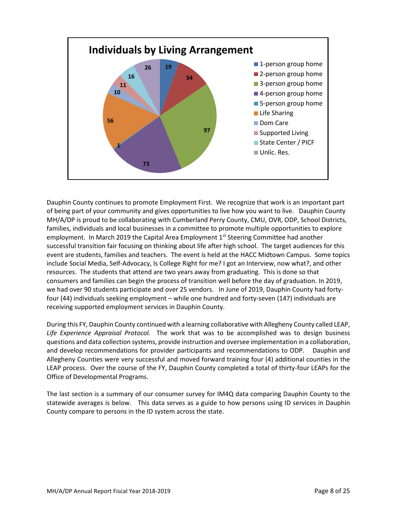

Dauphin County continues to promote Employment First. We recognize that work is an important part of being part of your community and gives opportunities to live how you want to live. Dauphin County MH/A/DP is proud to be collaborating with Cumberland Perry County, CMU, OVR, ODP, School Districts, families, individuals and local businesses in a committee to promote multiple opportunities to explore employment. In March 2019 the Capital Area Employment 1<sup>st</sup> Steering Committee had another successful transition fair focusing on thinking about life after high school. The target audiences for this event are students, families and teachers. The event is held at the HACC Midtown Campus. Some topics include Social Media, Self-Advocacy, Is College Right for me? I got an Interview, now what?, and other resources. The students that attend are two years away from graduating. This is done so that consumers and families can begin the process of transition well before the day of graduation. In 2019, we had over 90 students participate and over 25 vendors. In June of 2019, Dauphin County had fortyfour (44) individuals seeking employment – while one hundred and forty-seven (147) individuals are receiving supported employment services in Dauphin County.

During this FY, Dauphin County continued with a learning collaborative with Allegheny County called LEAP, *Life Experience Appraisal Protocol.* The work that was to be accomplished was to design business questions and data collection systems, provide instruction and oversee implementation in a collaboration, and develop recommendations for provider participants and recommendations to ODP. Dauphin and Allegheny Counties were very successful and moved forward training four (4) additional counties in the LEAP process. Over the course of the FY, Dauphin County completed a total of thirty-four LEAPs for the Office of Developmental Programs.

The last section is a summary of our consumer survey for IM4Q data comparing Dauphin County to the statewide averages is below. This data serves as a guide to how persons using ID services in Dauphin County compare to persons in the ID system across the state.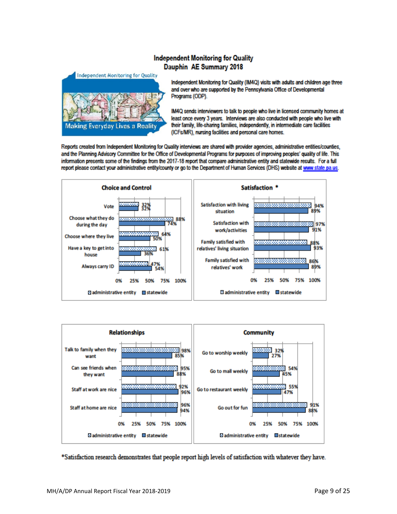## **Independent Monitoring for Quality** Dauphin AE Summary 2018



Independent Monitoring for Quality (IM4Q) visits with adults and children age three and over who are supported by the Pennsylvania Office of Developmental Programs (ODP).

IM4Q sends interviewers to talk to people who live in licensed community homes at least once every 3 years. Interviews are also conducted with people who live with their family, life-sharing families, independently, in intermediate care facilities (ICFs/MR), nursing facilities and personal care homes.

Reports created from Independent Monitoring for Quality interviews are shared with provider agencies, administrative entities/counties, and the Planning Advisory Committee for the Office of Developmental Programs for purposes of improving peoples' quality of life. This information presents some of the findings from the 2017-18 report that compare administrative entity and statewide results. For a full report please contact your administrative entity/county or go to the Department of Human Services (DHS) website at www.state.pa.us.





\*Satisfaction research demonstrates that people report high levels of satisfaction with whatever they have.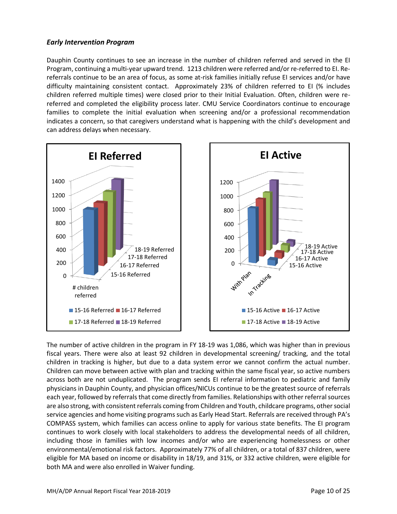## *Early Intervention Program*

Dauphin County continues to see an increase in the number of children referred and served in the EI Program, continuing a multi-year upward trend. 1213 children were referred and/or re-referred to EI. Rereferrals continue to be an area of focus, as some at-risk families initially refuse EI services and/or have difficulty maintaining consistent contact. Approximately 23% of children referred to EI (% includes children referred multiple times) were closed prior to their Initial Evaluation. Often, children were rereferred and completed the eligibility process later. CMU Service Coordinators continue to encourage families to complete the initial evaluation when screening and/or a professional recommendation indicates a concern, so that caregivers understand what is happening with the child's development and can address delays when necessary.



The number of active children in the program in FY 18-19 was 1,086, which was higher than in previous fiscal years. There were also at least 92 children in developmental screening/ tracking, and the total children in tracking is higher, but due to a data system error we cannot confirm the actual number. Children can move between active with plan and tracking within the same fiscal year, so active numbers across both are not unduplicated. The program sends EI referral information to pediatric and family physicians in Dauphin County, and physician offices/NICUs continue to be the greatest source of referrals each year, followed by referrals that come directly from families. Relationships with other referral sources are also strong, with consistent referrals coming from Children and Youth, childcare programs, other social service agencies and home visiting programs such as Early Head Start. Referrals are received through PA's COMPASS system, which families can access online to apply for various state benefits. The EI program continues to work closely with local stakeholders to address the developmental needs of all children, including those in families with low incomes and/or who are experiencing homelessness or other environmental/emotional risk factors. Approximately 77% of all children, or a total of 837 children, were eligible for MA based on income or disability in 18/19, and 31%, or 332 active children, were eligible for both MA and were also enrolled in Waiver funding.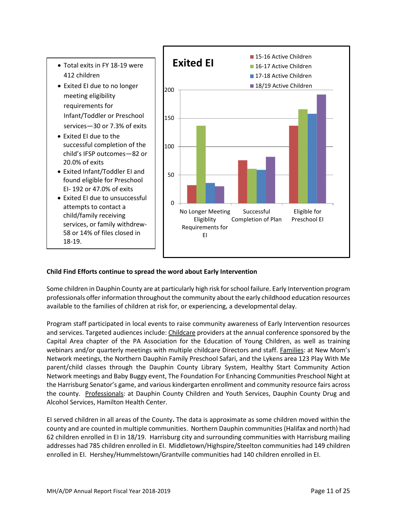

## **Child Find Efforts continue to spread the word about Early Intervention**

Some children in Dauphin County are at particularly high risk for school failure. Early Intervention program professionals offer information throughout the community about the early childhood education resources available to the families of children at risk for, or experiencing, a developmental delay.

Program staff participated in local events to raise community awareness of Early Intervention resources and services. Targeted audiences include: Childcare providers at the annual conference sponsored by the Capital Area chapter of the PA Association for the Education of Young Children, as well as training webinars and/or quarterly meetings with multiple childcare Directors and staff. Families: at New Mom's Network meetings, the Northern Dauphin Family Preschool Safari, and the Lykens area 123 Play With Me parent/child classes through the Dauphin County Library System, Healthy Start Community Action Network meetings and Baby Buggy event, The Foundation For Enhancing Communities Preschool Night at the Harrisburg Senator's game, and various kindergarten enrollment and community resource fairs across the county. Professionals: at Dauphin County Children and Youth Services, Dauphin County Drug and Alcohol Services, Hamilton Health Center.

EI served children in all areas of the County**.** The data is approximate as some children moved within the county and are counted in multiple communities. Northern Dauphin communities (Halifax and north) had 62 children enrolled in EI in 18/19. Harrisburg city and surrounding communities with Harrisburg mailing addresses had 785 children enrolled in EI. Middletown/Highspire/Steelton communities had 149 children enrolled in EI. Hershey/Hummelstown/Grantville communities had 140 children enrolled in EI.

Eligible for Preschool EI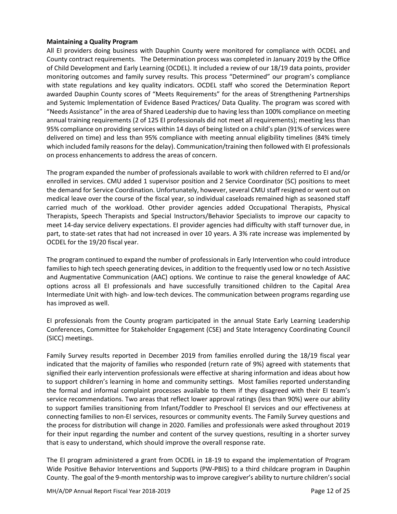#### **Maintaining a Quality Program**

All EI providers doing business with Dauphin County were monitored for compliance with OCDEL and County contract requirements. The Determination process was completed in January 2019 by the Office of Child Development and Early Learning (OCDEL). It included a review of our 18/19 data points, provider monitoring outcomes and family survey results. This process "Determined" our program's compliance with state regulations and key quality indicators. OCDEL staff who scored the Determination Report awarded Dauphin County scores of "Meets Requirements" for the areas of Strengthening Partnerships and Systemic Implementation of Evidence Based Practices/ Data Quality. The program was scored with "Needs Assistance" in the area of Shared Leadership due to having lessthan 100% compliance on meeting annual training requirements (2 of 125 EI professionals did not meet all requirements); meeting less than 95% compliance on providing services within 14 days of being listed on a child's plan (91% of services were delivered on time) and less than 95% compliance with meeting annual eligibility timelines (84% timely which included family reasons for the delay). Communication/training then followed with EI professionals on process enhancements to address the areas of concern.

The program expanded the number of professionals available to work with children referred to EI and/or enrolled in services. CMU added 1 supervisor position and 2 Service Coordinator (SC) positions to meet the demand for Service Coordination. Unfortunately, however, several CMU staff resigned or went out on medical leave over the course of the fiscal year, so individual caseloads remained high as seasoned staff carried much of the workload. Other provider agencies added Occupational Therapists, Physical Therapists, Speech Therapists and Special Instructors/Behavior Specialists to improve our capacity to meet 14-day service delivery expectations. EI provider agencies had difficulty with staff turnover due, in part, to state-set rates that had not increased in over 10 years. A 3% rate increase was implemented by OCDEL for the 19/20 fiscal year.

The program continued to expand the number of professionals in Early Intervention who could introduce families to high tech speech generating devices, in addition to the frequently used low or no tech Assistive and Augmentative Communication (AAC) options. We continue to raise the general knowledge of AAC options across all EI professionals and have successfully transitioned children to the Capital Area Intermediate Unit with high- and low-tech devices. The communication between programs regarding use has improved as well.

EI professionals from the County program participated in the annual State Early Learning Leadership Conferences, Committee for Stakeholder Engagement (CSE) and State Interagency Coordinating Council (SICC) meetings.

Family Survey results reported in December 2019 from families enrolled during the 18/19 fiscal year indicated that the majority of families who responded (return rate of 9%) agreed with statements that signified their early intervention professionals were effective at sharing information and ideas about how to support children's learning in home and community settings. Most families reported understanding the formal and informal complaint processes available to them if they disagreed with their EI team's service recommendations. Two areas that reflect lower approval ratings (less than 90%) were our ability to support families transitioning from Infant/Toddler to Preschool EI services and our effectiveness at connecting families to non-EI services, resources or community events. The Family Survey questions and the process for distribution will change in 2020. Families and professionals were asked throughout 2019 for their input regarding the number and content of the survey questions, resulting in a shorter survey that is easy to understand, which should improve the overall response rate.

The EI program administered a grant from OCDEL in 18-19 to expand the implementation of Program Wide Positive Behavior Interventions and Supports (PW-PBIS) to a third childcare program in Dauphin County. The goal of the 9-month mentorship was to improve caregiver's ability to nurture children's social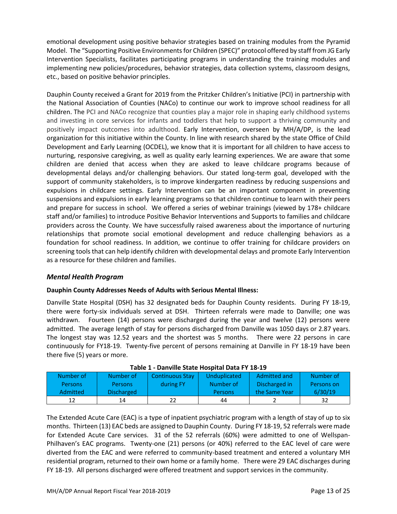emotional development using positive behavior strategies based on training modules from the Pyramid Model. The "Supporting Positive Environments for Children (SPEC)" protocol offered by staff from JG Early Intervention Specialists, facilitates participating programs in understanding the training modules and implementing new policies/procedures, behavior strategies, data collection systems, classroom designs, etc., based on positive behavior principles.

Dauphin County received a Grant for 2019 from the Pritzker Children's Initiative (PCI) in partnership with the National Association of Counties (NACo) to continue our work to improve school readiness for all children. The PCI and NACo recognize that counties play a major role in shaping early childhood systems and investing in core services for infants and toddlers that help to support a thriving community and positively impact outcomes into adulthood. Early Intervention, overseen by MH/A/DP, is the lead organization for this initiative within the County. In line with research shared by the state Office of Child Development and Early Learning (OCDEL), we know that it is important for all children to have access to nurturing, responsive caregiving, as well as quality early learning experiences. We are aware that some children are denied that access when they are asked to leave childcare programs because of developmental delays and/or challenging behaviors. Our stated long-term goal, developed with the support of community stakeholders, is to improve kindergarten readiness by reducing suspensions and expulsions in childcare settings. Early Intervention can be an important component in preventing suspensions and expulsions in early learning programs so that children continue to learn with their peers and prepare for success in school. We offered a series of webinar trainings (viewed by 178+ childcare staff and/or families) to introduce Positive Behavior Interventions and Supports to families and childcare providers across the County. We have successfully raised awareness about the importance of nurturing relationships that promote social emotional development and reduce challenging behaviors as a foundation for school readiness. In addition, we continue to offer training for childcare providers on screening tools that can help identify children with developmental delays and promote Early Intervention as a resource for these children and families.

## *Mental Health Program*

## **Dauphin County Addresses Needs of Adults with Serious Mental Illness:**

Danville State Hospital (DSH) has 32 designated beds for Dauphin County residents. During FY 18-19, there were forty-six individuals served at DSH. Thirteen referrals were made to Danville; one was withdrawn. Fourteen (14) persons were discharged during the year and twelve (12) persons were admitted. The average length of stay for persons discharged from Danville was 1050 days or 2.87 years. The longest stay was 12.52 years and the shortest was 5 months. There were 22 persons in care continuously for FY18-19. Twenty-five percent of persons remaining at Danville in FY 18-19 have been there five (5) years or more.

| Table 1 - Dallvine State Hospital Data 1 1 10-15 |                   |                        |                |               |            |  |  |  |
|--------------------------------------------------|-------------------|------------------------|----------------|---------------|------------|--|--|--|
| Number of                                        | Number of         | <b>Continuous Stay</b> | Unduplicated   | Admitted and  | Number of  |  |  |  |
| <b>Persons</b>                                   | <b>Persons</b>    | during FY              | Number of      | Discharged in | Persons on |  |  |  |
| <b>Admitted</b>                                  | <b>Discharged</b> |                        | <b>Persons</b> | the Same Year | 6/30/19    |  |  |  |
| 12                                               | 14                |                        | 44             |               | 32         |  |  |  |

The Extended Acute Care (EAC) is a type of inpatient psychiatric program with a length of stay of up to six months. Thirteen (13) EAC beds are assigned to Dauphin County. During FY 18-19, 52 referrals were made for Extended Acute Care services. 31 of the 52 referrals (60%) were admitted to one of Wellspan-Philhaven's EAC programs. Twenty-one (21) persons (or 40%) referred to the EAC level of care were diverted from the EAC and were referred to community-based treatment and entered a voluntary MH residential program, returned to their own home or a family home. There were 29 EAC discharges during FY 18-19. All persons discharged were offered treatment and support services in the community.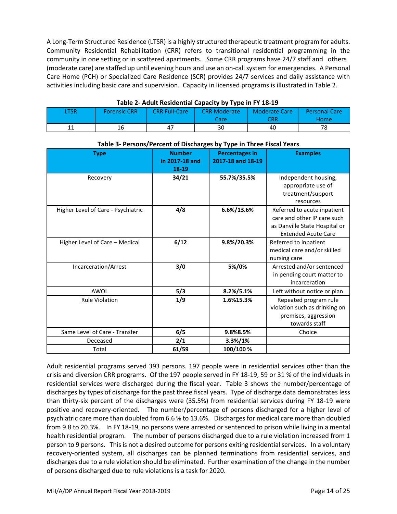A Long-Term Structured Residence (LTSR) is a highly structured therapeutic treatment program for adults. Community Residential Rehabilitation (CRR) refers to transitional residential programming in the community in one setting or in scattered apartments. Some CRR programs have 24/7 staff and others (moderate care) are staffed up until evening hours and use an on-call system for emergencies. A Personal Care Home (PCH) or Specialized Care Residence (SCR) provides 24/7 services and daily assistance with activities including basic care and supervision. Capacity in licensed programs is illustrated in Table 2.

| Table 2- Addit Residential Capacity by Type III I To-ID |                     |                      |                     |                      |                      |  |  |  |
|---------------------------------------------------------|---------------------|----------------------|---------------------|----------------------|----------------------|--|--|--|
| .TSR                                                    | <b>Forensic CRR</b> | <b>CRR Full-Care</b> | <b>CRR Moderate</b> | <b>Moderate Care</b> | <b>Personal Care</b> |  |  |  |
|                                                         |                     |                      | Care                | CRR                  | Home                 |  |  |  |
|                                                         | 16                  | 47                   |                     | 40                   |                      |  |  |  |

**Table 2- Adult Residential Capacity by Type in FY 18-19**

| <b>Type</b>                        | <b>Number</b>  | <b>Percentages in</b> | <b>Examples</b>               |  |  |  |  |  |
|------------------------------------|----------------|-----------------------|-------------------------------|--|--|--|--|--|
|                                    | in 2017-18 and | 2017-18 and 18-19     |                               |  |  |  |  |  |
|                                    | 18-19          |                       |                               |  |  |  |  |  |
| Recovery                           | 34/21          | 55.7%/35.5%           | Independent housing,          |  |  |  |  |  |
|                                    |                |                       | appropriate use of            |  |  |  |  |  |
|                                    |                |                       | treatment/support             |  |  |  |  |  |
|                                    |                |                       | resources                     |  |  |  |  |  |
| Higher Level of Care - Psychiatric | 4/8            | 6.6%/13.6%            | Referred to acute inpatient   |  |  |  |  |  |
|                                    |                |                       | care and other IP care such   |  |  |  |  |  |
|                                    |                |                       | as Danville State Hospital or |  |  |  |  |  |
|                                    |                |                       | <b>Extended Acute Care</b>    |  |  |  |  |  |
| Higher Level of Care - Medical     | 6/12           | 9.8%/20.3%            | Referred to inpatient         |  |  |  |  |  |
|                                    |                |                       | medical care and/or skilled   |  |  |  |  |  |
|                                    |                |                       | nursing care                  |  |  |  |  |  |
| Incarceration/Arrest               | 3/0            | 5%/0%                 | Arrested and/or sentenced     |  |  |  |  |  |
|                                    |                |                       | in pending court matter to    |  |  |  |  |  |
|                                    |                |                       | incarceration                 |  |  |  |  |  |
| AWOL                               | 5/3            | 8.2%/5.1%             | Left without notice or plan   |  |  |  |  |  |
| <b>Rule Violation</b>              | 1/9            | 1.6%15.3%             | Repeated program rule         |  |  |  |  |  |
|                                    |                |                       | violation such as drinking on |  |  |  |  |  |
|                                    |                |                       | premises, aggression          |  |  |  |  |  |
|                                    |                |                       | towards staff                 |  |  |  |  |  |
| Same Level of Care - Transfer      | 6/5            | 9.8%8.5%              | Choice                        |  |  |  |  |  |
| Deceased                           | 2/1            | 3.3%/1%               |                               |  |  |  |  |  |
| Total                              | 61/59          | 100/100 %             |                               |  |  |  |  |  |

## **Table 3- Persons/Percent of Discharges by Type in Three Fiscal Years**

Adult residential programs served 393 persons. 197 people were in residential services other than the crisis and diversion CRR programs. Of the 197 people served in FY 18-19, 59 or 31 % of the individuals in residential services were discharged during the fiscal year. Table 3 shows the number/percentage of discharges by types of discharge for the past three fiscal years. Type of discharge data demonstrates less than thirty-six percent of the discharges were (35.5%) from residential services during FY 18-19 were positive and recovery-oriented. The number/percentage of persons discharged for a higher level of psychiatric care more than doubled from 6.6 % to 13.6%. Discharges for medical care more than doubled from 9.8 to 20.3%. In FY 18-19, no persons were arrested or sentenced to prison while living in a mental health residential program. The number of persons discharged due to a rule violation increased from 1 person to 9 persons. This is not a desired outcome for persons exiting residential services. In a voluntary recovery-oriented system, all discharges can be planned terminations from residential services, and discharges due to a rule violation should be eliminated. Further examination of the change in the number of persons discharged due to rule violations is a task for 2020.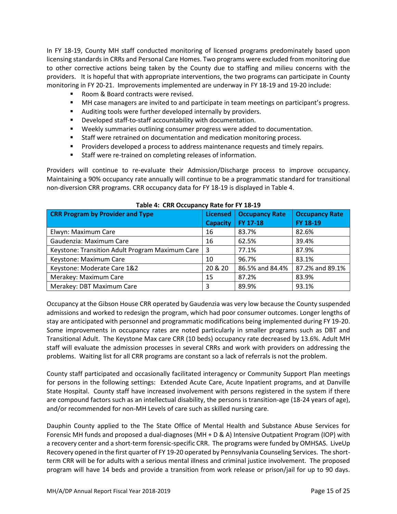In FY 18-19, County MH staff conducted monitoring of licensed programs predominately based upon licensing standards in CRRs and Personal Care Homes. Two programs were excluded from monitoring due to other corrective actions being taken by the County due to staffing and milieu concerns with the providers. It is hopeful that with appropriate interventions, the two programs can participate in County monitoring in FY 20-21. Improvements implemented are underway in FY 18-19 and 19-20 include:

- Room & Board contracts were revised.
- MH case managers are invited to and participate in team meetings on participant's progress.
- Auditing tools were further developed internally by providers.
- Developed staff-to-staff accountability with documentation.
- Weekly summaries outlining consumer progress were added to documentation.
- Staff were retrained on documentation and medication monitoring process.
- **•** Providers developed a process to address maintenance requests and timely repairs.
- Staff were re-trained on completing releases of information.

Providers will continue to re-evaluate their Admission/Discharge process to improve occupancy. Maintaining a 90% occupancy rate annually will continue to be a programmatic standard for transitional non-diversion CRR programs. CRR occupancy data for FY 18-19 is displayed in Table 4.

| <b>CRR Program by Provider and Type</b>         | <b>Licensed</b> | <b>Occupancy Rate</b> | <b>Occupancy Rate</b> |
|-------------------------------------------------|-----------------|-----------------------|-----------------------|
|                                                 | <b>Capacity</b> | FY 17-18              | FY 18-19              |
| Elwyn: Maximum Care                             | 16              | 83.7%                 | 82.6%                 |
| Gaudenzia: Maximum Care                         | 16              | 62.5%                 | 39.4%                 |
| Keystone: Transition Adult Program Maximum Care | -3              | 77.1%                 | 87.9%                 |
| Keystone: Maximum Care                          | 10              | 96.7%                 | 83.1%                 |
| Keystone: Moderate Care 1&2                     | 20 & 20         | 86.5% and 84.4%       | 87.2% and 89.1%       |
| Merakey: Maximum Care                           | 15              | 87.2%                 | 83.9%                 |
| Merakey: DBT Maximum Care                       | 3               | 89.9%                 | 93.1%                 |

## **Table 4: CRR Occupancy Rate for FY 18-19**

Occupancy at the Gibson House CRR operated by Gaudenzia was very low because the County suspended admissions and worked to redesign the program, which had poor consumer outcomes. Longer lengths of stay are anticipated with personnel and programmatic modifications being implemented during FY 19-20. Some improvements in occupancy rates are noted particularly in smaller programs such as DBT and Transitional Adult. The Keystone Max care CRR (10 beds) occupancy rate decreased by 13.6%. Adult MH staff will evaluate the admission processes in several CRRs and work with providers on addressing the problems. Waiting list for all CRR programs are constant so a lack of referrals is not the problem.

County staff participated and occasionally facilitated interagency or Community Support Plan meetings for persons in the following settings: Extended Acute Care, Acute Inpatient programs, and at Danville State Hospital. County staff have increased involvement with persons registered in the system if there are compound factors such as an intellectual disability, the persons is transition-age (18-24 years of age), and/or recommended for non-MH Levels of care such as skilled nursing care.

Dauphin County applied to the The State Office of Mental Health and Substance Abuse Services for Forensic MH funds and proposed a dual-diagnoses (MH + D & A) Intensive Outpatient Program (IOP) with a recovery center and a short-term forensic-specific CRR. The programs were funded by OMHSAS. LiveUp Recovery opened in the first quarter of FY 19-20 operated by Pennsylvania Counseling Services. The shortterm CRR will be for adults with a serious mental illness and criminal justice involvement. The proposed program will have 14 beds and provide a transition from work release or prison/jail for up to 90 days.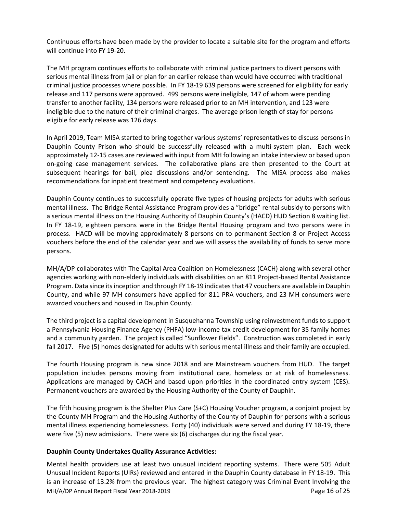Continuous efforts have been made by the provider to locate a suitable site for the program and efforts will continue into FY 19-20.

The MH program continues efforts to collaborate with criminal justice partners to divert persons with serious mental illness from jail or plan for an earlier release than would have occurred with traditional criminal justice processes where possible. In FY 18-19 639 persons were screened for eligibility for early release and 117 persons were approved. 499 persons were ineligible, 147 of whom were pending transfer to another facility, 134 persons were released prior to an MH intervention, and 123 were ineligible due to the nature of their criminal charges. The average prison length of stay for persons eligible for early release was 126 days.

In April 2019, Team MISA started to bring together various systems' representatives to discuss persons in Dauphin County Prison who should be successfully released with a multi-system plan. Each week approximately 12-15 cases are reviewed with input from MH following an intake interview or based upon on-going case management services. The collaborative plans are then presented to the Court at subsequent hearings for bail, plea discussions and/or sentencing. The MISA process also makes recommendations for inpatient treatment and competency evaluations.

Dauphin County continues to successfully operate five types of housing projects for adults with serious mental illness. The Bridge Rental Assistance Program provides a "bridge" rental subsidy to persons with a serious mental illness on the Housing Authority of Dauphin County's (HACD) HUD Section 8 waiting list. In FY 18-19, eighteen persons were in the Bridge Rental Housing program and two persons were in process. HACD will be moving approximately 8 persons on to permanent Section 8 or Project Access vouchers before the end of the calendar year and we will assess the availability of funds to serve more persons.

MH/A/DP collaborates with The Capital Area Coalition on Homelessness (CACH) along with several other agencies working with non-elderly individuals with disabilities on an 811 Project-based Rental Assistance Program. Data since its inception and through FY 18-19 indicates that 47 vouchers are available in Dauphin County, and while 97 MH consumers have applied for 811 PRA vouchers, and 23 MH consumers were awarded vouchers and housed in Dauphin County.

The third project is a capital development in Susquehanna Township using reinvestment funds to support a Pennsylvania Housing Finance Agency (PHFA) low-income tax credit development for 35 family homes and a community garden. The project is called "Sunflower Fields". Construction was completed in early fall 2017. Five (5) homes designated for adults with serious mental illness and their family are occupied.

The fourth Housing program is new since 2018 and are Mainstream vouchers from HUD. The target population includes persons moving from institutional care, homeless or at risk of homelessness. Applications are managed by CACH and based upon priorities in the coordinated entry system (CES). Permanent vouchers are awarded by the Housing Authority of the County of Dauphin.

The fifth housing program is the Shelter Plus Care (S+C) Housing Voucher program, a conjoint project by the County MH Program and the Housing Authority of the County of Dauphin for persons with a serious mental illness experiencing homelessness. Forty (40) individuals were served and during FY 18-19, there were five (5) new admissions. There were six (6) discharges during the fiscal year.

## **Dauphin County Undertakes Quality Assurance Activities:**

MH/A/DP Annual Report Fiscal Year 2018-2019 **Page 16 of 25** and 2018-2019 Mental health providers use at least two unusual incident reporting systems. There were 505 Adult Unusual Incident Reports (UIRs) reviewed and entered in the Dauphin County database in FY 18-19. This is an increase of 13.2% from the previous year. The highest category was Criminal Event Involving the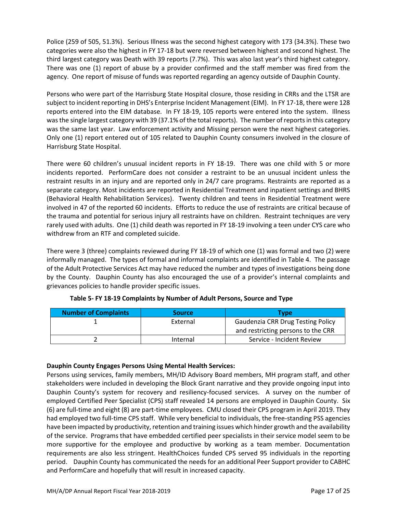Police (259 of 505, 51.3%). Serious Illness was the second highest category with 173 (34.3%). These two categories were also the highest in FY 17-18 but were reversed between highest and second highest. The third largest category was Death with 39 reports (7.7%). This was also last year's third highest category. There was one (1) report of abuse by a provider confirmed and the staff member was fired from the agency. One report of misuse of funds was reported regarding an agency outside of Dauphin County.

Persons who were part of the Harrisburg State Hospital closure, those residing in CRRs and the LTSR are subject to incident reporting in DHS's Enterprise Incident Management (EIM). In FY 17-18, there were 128 reports entered into the EIM database. In FY 18-19, 105 reports were entered into the system. Illness was the single largest category with 39 (37.1% of the total reports). The number of reports in this category was the same last year. Law enforcement activity and Missing person were the next highest categories. Only one (1) report entered out of 105 related to Dauphin County consumers involved in the closure of Harrisburg State Hospital.

There were 60 children's unusual incident reports in FY 18-19. There was one child with 5 or more incidents reported. PerformCare does not consider a restraint to be an unusual incident unless the restraint results in an injury and are reported only in 24/7 care programs. Restraints are reported as a separate category. Most incidents are reported in Residential Treatment and inpatient settings and BHRS (Behavioral Health Rehabilitation Services). Twenty children and teens in Residential Treatment were involved in 47 of the reported 60 incidents. Efforts to reduce the use of restraints are critical because of the trauma and potential for serious injury all restraints have on children. Restraint techniques are very rarely used with adults. One (1) child death was reported in FY 18-19 involving a teen under CYS care who withdrew from an RTF and completed suicide.

There were 3 (three) complaints reviewed during FY 18-19 of which one (1) was formal and two (2) were informally managed. The types of formal and informal complaints are identified in Table 4. The passage of the Adult Protective Services Act may have reduced the number and types of investigations being done by the County. Dauphin County has also encouraged the use of a provider's internal complaints and grievances policies to handle provider specific issues.

| <b>Number of Complaints</b> | <b>Source</b> | Tvpe                                     |
|-----------------------------|---------------|------------------------------------------|
|                             | External      | <b>Gaudenzia CRR Drug Testing Policy</b> |
|                             |               | and restricting persons to the CRR       |
|                             | Internal      | Service - Incident Review                |

## **Table 5- FY 18-19 Complaints by Number of Adult Persons, Source and Type**

## **Dauphin County Engages Persons Using Mental Health Services:**

Persons using services, family members, MH/ID Advisory Board members, MH program staff, and other stakeholders were included in developing the Block Grant narrative and they provide ongoing input into Dauphin County's system for recovery and resiliency-focused services. A survey on the number of employed Certified Peer Specialist (CPS) staff revealed 14 persons are employed in Dauphin County. Six (6) are full-time and eight (8) are part-time employees. CMU closed their CPS program in April 2019. They had employed two full-time CPS staff. While very beneficial to individuals, the free-standing PSS agencies have been impacted by productivity, retention and training issues which hinder growth and the availability of the service. Programs that have embedded certified peer specialists in their service model seem to be more supportive for the employee and productive by working as a team member. Documentation requirements are also less stringent. HealthChoices funded CPS served 95 individuals in the reporting period. Dauphin County has communicated the needs for an additional Peer Support provider to CABHC and PerformCare and hopefully that will result in increased capacity.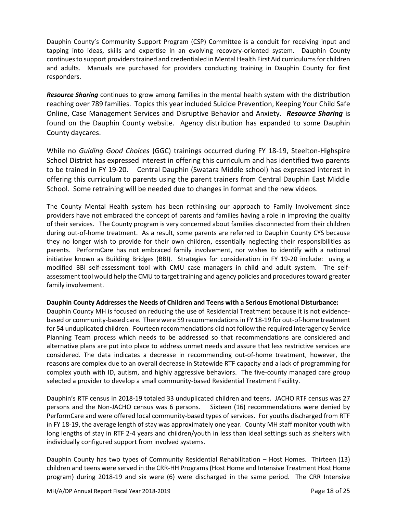Dauphin County's Community Support Program (CSP) Committee is a conduit for receiving input and tapping into ideas, skills and expertise in an evolving recovery-oriented system. Dauphin County continues to support providers trained and credentialed in Mental Health First Aid curriculums for children and adults. Manuals are purchased for providers conducting training in Dauphin County for first responders.

*Resource Sharing* continues to grow among families in the mental health system with the distribution reaching over 789 families. Topics this year included Suicide Prevention, Keeping Your Child Safe Online, Case Management Services and Disruptive Behavior and Anxiety. *Resource Sharing* is found on the Dauphin County website. Agency distribution has expanded to some Dauphin County daycares.

While no *Guiding Good Choices* (GGC) trainings occurred during FY 18-19, Steelton-Highspire School District has expressed interest in offering this curriculum and has identified two parents to be trained in FY 19-20. Central Dauphin (Swatara Middle school) has expressed interest in offering this curriculum to parents using the parent trainers from Central Dauphin East Middle School. Some retraining will be needed due to changes in format and the new videos.

The County Mental Health system has been rethinking our approach to Family Involvement since providers have not embraced the concept of parents and families having a role in improving the quality of their services. The County program is very concerned about families disconnected from their children during out-of-home treatment. As a result, some parents are referred to Dauphin County CYS because they no longer wish to provide for their own children, essentially neglecting their responsibilities as parents. PerformCare has not embraced family involvement, nor wishes to identify with a national initiative known as Building Bridges (BBI). Strategies for consideration in FY 19-20 include: using a modified BBI self-assessment tool with CMU case managers in child and adult system. The selfassessment tool would help the CMU to target training and agency policies and procedures toward greater family involvement.

## **Dauphin County Addresses the Needs of Children and Teens with a Serious Emotional Disturbance:**

Dauphin County MH is focused on reducing the use of Residential Treatment because it is not evidencebased or community-based care. There were 59 recommendations in FY 18-19 for out-of-home treatment for 54 unduplicated children. Fourteen recommendations did not follow the required Interagency Service Planning Team process which needs to be addressed so that recommendations are considered and alternative plans are put into place to address unmet needs and assure that less restrictive services are considered. The data indicates a decrease in recommending out-of-home treatment, however, the reasons are complex due to an overall decrease in Statewide RTF capacity and a lack of programming for complex youth with ID, autism, and highly aggressive behaviors. The five-county managed care group selected a provider to develop a small community-based Residential Treatment Facility.

Dauphin's RTF census in 2018-19 totaled 33 unduplicated children and teens. JACHO RTF census was 27 persons and the Non-JACHO census was 6 persons. Sixteen (16) recommendations were denied by PerformCare and were offered local community-based types of services. For youths discharged from RTF in FY 18-19, the average length of stay was approximately one year. County MH staff monitor youth with long lengths of stay in RTF 2-4 years and children/youth in less than ideal settings such as shelters with individually configured support from involved systems.

Dauphin County has two types of Community Residential Rehabilitation – Host Homes. Thirteen (13) children and teens were served in the CRR-HH Programs (Host Home and Intensive Treatment Host Home program) during 2018-19 and six were (6) were discharged in the same period. The CRR Intensive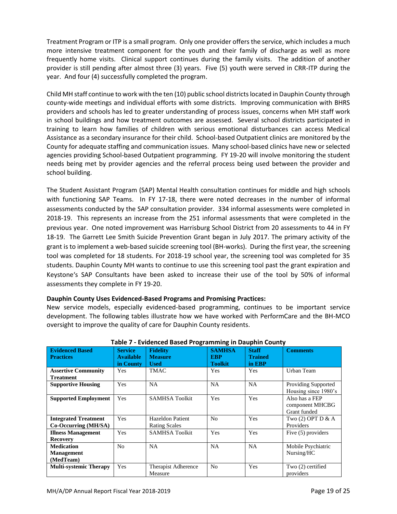Treatment Program or ITP is a small program. Only one provider offers the service, which includes a much more intensive treatment component for the youth and their family of discharge as well as more frequently home visits. Clinical support continues during the family visits. The addition of another provider is still pending after almost three (3) years. Five (5) youth were served in CRR-ITP during the year. And four (4) successfully completed the program.

Child MH staff continue to work with the ten (10) public school districts located in Dauphin County through county-wide meetings and individual efforts with some districts. Improving communication with BHRS providers and schools has led to greater understanding of process issues, concerns when MH staff work in school buildings and how treatment outcomes are assessed. Several school districts participated in training to learn how families of children with serious emotional disturbances can access Medical Assistance as a secondary insurance for their child. School-based Outpatient clinics are monitored by the County for adequate staffing and communication issues. Many school-based clinics have new or selected agencies providing School-based Outpatient programming. FY 19-20 will involve monitoring the student needs being met by provider agencies and the referral process being used between the provider and school building.

The Student Assistant Program (SAP) Mental Health consultation continues for middle and high schools with functioning SAP Teams. In FY 17-18, there were noted decreases in the number of informal assessments conducted by the SAP consultation provider. 334 informal assessments were completed in 2018-19. This represents an increase from the 251 informal assessments that were completed in the previous year. One noted improvement was Harrisburg School District from 20 assessments to 44 in FY 18-19. The Garrett Lee Smith Suicide Prevention Grant began in July 2017. The primary activity of the grant is to implement a web-based suicide screening tool (BH-works). During the first year, the screening tool was completed for 18 students. For 2018-19 school year, the screening tool was completed for 35 students. Dauphin County MH wants to continue to use this screening tool past the grant expiration and Keystone's SAP Consultants have been asked to increase their use of the tool by 50% of informal assessments they complete in FY 19-20.

## **Dauphin County Uses Evidenced-Based Programs and Promising Practices:**

New service models, especially evidenced-based programming, continues to be important service development. The following tables illustrate how we have worked with PerformCare and the BH-MCO oversight to improve the quality of care for Dauphin County residents.

|                               |                  |                         | - - - - - -<br>ъ. |                |                      |
|-------------------------------|------------------|-------------------------|-------------------|----------------|----------------------|
| <b>Evidenced Based</b>        | <b>Service</b>   | <b>Fidelity</b>         | <b>SAMHSA</b>     | <b>Staff</b>   | <b>Comments</b>      |
| <b>Practices</b>              | <b>Available</b> | <b>Measure</b>          | <b>EBP</b>        | <b>Trained</b> |                      |
|                               | in County        | <b>Used</b>             | <b>Toolkit</b>    | in EBP         |                      |
|                               |                  |                         |                   |                |                      |
| <b>Assertive Community</b>    | <b>Yes</b>       | <b>TMAC</b>             | Yes               | Yes            | Urban Team           |
| <b>Treatment</b>              |                  |                         |                   |                |                      |
| <b>Supportive Housing</b>     | Yes              | <b>NA</b>               | <b>NA</b>         | <b>NA</b>      | Providing Supported  |
|                               |                  |                         |                   |                | Housing since 1980's |
| <b>Supported Employment</b>   | Yes              | <b>SAMHSA Toolkit</b>   | Yes               | Yes            | Also has a FEP       |
|                               |                  |                         |                   |                | component MHCBG      |
|                               |                  |                         |                   |                |                      |
|                               |                  |                         |                   |                | Grant funded         |
| <b>Integrated Treatment</b>   | Yes              | <b>Hazeldon Patient</b> | N <sub>0</sub>    | Yes            | Two (2) OPT D & A    |
| Co-Occurring (MH/SA)          |                  | <b>Rating Scales</b>    |                   |                | Providers            |
| <b>Illness Management</b>     | Yes              | <b>SAMHSA Toolkit</b>   | Yes               | Yes            | Five (5) providers   |
| <b>Recovery</b>               |                  |                         |                   |                |                      |
| <b>Medication</b>             | N <sub>0</sub>   | <b>NA</b>               | <b>NA</b>         | NA             | Mobile Psychiatric   |
| <b>Management</b>             |                  |                         |                   |                | Nursing/HC           |
| (MedTeam)                     |                  |                         |                   |                |                      |
|                               |                  |                         |                   |                |                      |
| <b>Multi-systemic Therapy</b> | Yes              | Therapist Adherence     | N <sub>0</sub>    | Yes            | Two (2) certified    |
|                               |                  | Measure                 |                   |                | providers            |
|                               |                  |                         |                   |                |                      |

#### **Table 7 - Evidenced Based Programming in Dauphin County**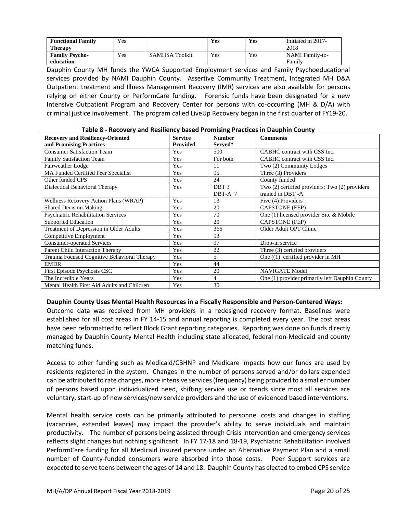| <b>Functional Family</b> | Yes      |                | Yes | Yes | Initiated in 2017-     |
|--------------------------|----------|----------------|-----|-----|------------------------|
| <b>Therapy</b>           |          |                |     |     | 2018                   |
| <b>Family Psycho-</b>    | $v_{es}$ | SAMHSA Toolkit | Yes | Yes | <b>NAMI</b> Family-to- |
| education                |          |                |     |     | Family                 |

Dauphin County MH funds the YWCA Supported Employment services and Family Psychoeducational services provided by NAMI Dauphin County. Assertive Community Treatment, Integrated MH D&A Outpatient treatment and Illness Management Recovery (IMR) services are also available for persons relying on either County or PerformCare funding. Forensic funds have been designated for a new Intensive Outpatient Program and Recovery Center for persons with co-occurring (MH & D/A) with criminal justice involvement. The program called LiveUp Recovery began in the first quarter of FY19-20.

|  | Table 8 - Recovery and Resiliency based Promising Practices in Dauphin County |  |  |  |  |  |  |
|--|-------------------------------------------------------------------------------|--|--|--|--|--|--|
|--|-------------------------------------------------------------------------------|--|--|--|--|--|--|

| <b>Recovery and Resiliency-Oriented</b>     | <b>Service</b>  | <b>Number</b>    | <b>Comments</b>                                |
|---------------------------------------------|-----------------|------------------|------------------------------------------------|
| and Promising Practices                     | <b>Provided</b> | Served*          |                                                |
| <b>Consumer Satisfaction Team</b>           | Yes             | 500              | CABHC contract with CSS Inc.                   |
| <b>Family Satisfaction Team</b>             | Yes             | For both         | CABHC contract with CSS Inc.                   |
| Fairweather Lodge                           | Yes             | 11               | Two (2) Community Lodges                       |
| MA Funded Certified Peer Specialist         | Yes             | 95               | Three (3) Providers                            |
| Other funded CPS                            | Yes             | 24               | County funded                                  |
| Dialectical Behavioral Therapy              | Yes             | DBT <sub>3</sub> | Two (2) certified providers; Two (2) providers |
|                                             |                 | DBT-A 7          | trained in DBT-A                               |
| Wellness Recovery Action Plans (WRAP)       | Yes             | 13               | Five (4) Providers                             |
| <b>Shared Decision Making</b>               | Yes             | 20               | <b>CAPSTONE</b> (FEP)                          |
| <b>Psychiatric Rehabilitation Services</b>  | Yes             | 70               | One (1) licensed provider Site & Mobile        |
| Supported Education                         | Yes             | 20               | <b>CAPSTONE</b> (FEP)                          |
| Treatment of Depression in Older Adults     | Yes             | 366              | Older Adult OPT Clinic                         |
| Competitive Employment                      | Yes             | 93               |                                                |
| <b>Consumer-operated Services</b>           | Yes             | 97               | Drop-in service                                |
| Parent Child Interaction Therapy            | Yes             | 22               | Three (3) certified providers                  |
| Trauma Focused Cognitive Behavioral Therapy | Yes             | 5                | One $(1)$ certified provider in MH             |
| <b>EMDR</b>                                 | Yes             | 44               |                                                |
| First Episode Psychosis CSC                 | Yes             | 20               | <b>NAVIGATE Model</b>                          |
| The Incredible Years                        | Yes             | $\overline{4}$   | One (1) provider primarily left Dauphin County |
| Mental Health First Aid Adults and Children | Yes             | 30               |                                                |

## **Dauphin County Uses Mental Health Resources in a Fiscally Responsible and Person-Centered Ways:**

Outcome data was received from MH providers in a redesigned recovery format. Baselines were established for all cost areas in FY 14-15 and annual reporting is completed every year. The cost areas have been reformatted to reflect Block Grant reporting categories. Reporting was done on funds directly managed by Dauphin County Mental Health including state allocated, federal non-Medicaid and county matching funds.

Access to other funding such as Medicaid/CBHNP and Medicare impacts how our funds are used by residents registered in the system. Changes in the number of persons served and/or dollars expended can be attributed to rate changes, more intensive services (frequency) being provided to a smaller number of persons based upon individualized need, shifting service use or trends since most all services are voluntary, start-up of new services/new service providers and the use of evidenced based interventions.

Mental health service costs can be primarily attributed to personnel costs and changes in staffing (vacancies, extended leaves) may impact the provider's ability to serve individuals and maintain productivity. The number of persons being assisted through Crisis Intervention and emergency services reflects slight changes but nothing significant. In FY 17-18 and 18-19, Psychiatric Rehabilitation involved PerformCare funding for all Medicaid insured persons under an Alternative Payment Plan and a small number of County-funded consumers were absorbed into those costs. Peer Support services are expected to serve teens between the ages of 14 and 18. Dauphin County has elected to embed CPS service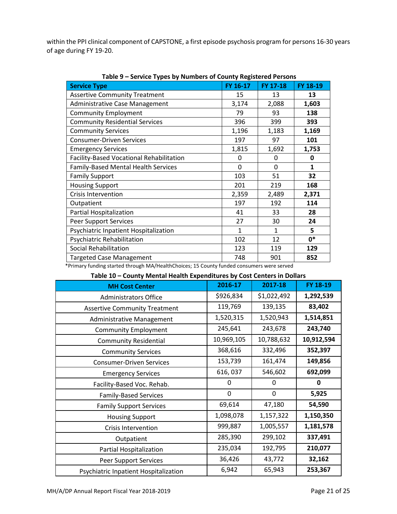within the PPI clinical component of CAPSTONE, a first episode psychosis program for persons 16-30 years of age during FY 19-20.

| <b>Service Type</b>                      | FY 16-17       | FY 17-18     | FY 18-19     |
|------------------------------------------|----------------|--------------|--------------|
| <b>Assertive Community Treatment</b>     | 15             | 13           | 13           |
| <b>Administrative Case Management</b>    | 3,174          | 2,088        | 1,603        |
| <b>Community Employment</b>              | 79             | 93           | 138          |
| <b>Community Residential Services</b>    | 396            | 399          | 393          |
| <b>Community Services</b>                | 1,196          | 1,183        | 1,169        |
| <b>Consumer-Driven Services</b>          | 197            | 97           | 101          |
| <b>Emergency Services</b>                | 1,815          | 1,692        | 1,753        |
| Facility-Based Vocational Rehabilitation | 0              | 0            | 0            |
| Family-Based Mental Health Services      | 0              | $\mathbf{0}$ | $\mathbf{1}$ |
| <b>Family Support</b>                    | 103            | 51           | 32           |
| <b>Housing Support</b>                   | 201            | 219          | 168          |
| <b>Crisis Intervention</b>               | 2,359<br>2,489 |              | 2,371        |
| Outpatient                               | 197            | 192          | 114          |
| Partial Hospitalization                  | 41             | 33           | 28           |
| <b>Peer Support Services</b>             | 27             | 30           | 24           |
| Psychiatric Inpatient Hospitalization    | $\mathbf{1}$   | $\mathbf{1}$ | 5            |
| Psychiatric Rehabilitation               | 102            | 12           | $0*$         |
| Social Rehabilitation                    | 123            | 119          | 129          |
| <b>Targeted Case Management</b>          | 748            | 901          | 852          |

**Table 9 – Service Types by Numbers of County Registered Persons**

\*Primary funding started through MA/HealthChoices; 15 County funded consumers were served

**Table 10 – County Mental Health Expenditures by Cost Centers in Dollars**

| <b>MH Cost Center</b>                 | 2016-17    | 2017-18     | FY 18-19   |
|---------------------------------------|------------|-------------|------------|
| <b>Administrators Office</b>          | \$926,834  | \$1,022,492 | 1,292,539  |
| <b>Assertive Community Treatment</b>  | 119,769    | 139,135     | 83,402     |
| Administrative Management             | 1,520,315  | 1,520,943   | 1,514,851  |
| <b>Community Employment</b>           | 245,641    | 243,678     | 243,740    |
| <b>Community Residential</b>          | 10,969,105 | 10,788,632  | 10,912,594 |
| <b>Community Services</b>             | 368,616    | 332,496     | 352,397    |
| <b>Consumer-Driven Services</b>       | 153,739    | 161,474     | 149,856    |
| <b>Emergency Services</b>             | 616, 037   | 546,602     | 692,099    |
| Facility-Based Voc. Rehab.            | 0          | 0           | 0          |
| <b>Family-Based Services</b>          | 0          | 0           | 5,925      |
| <b>Family Support Services</b>        | 69,614     | 47,180      | 54,590     |
| <b>Housing Support</b>                | 1,098,078  | 1,157,322   | 1,150,350  |
| <b>Crisis Intervention</b>            | 999,887    | 1,005,557   | 1,181,578  |
| Outpatient                            | 285,390    | 299,102     | 337,491    |
| Partial Hospitalization               | 235,034    | 192,795     | 210,077    |
| Peer Support Services                 | 36,426     | 43,772      | 32,162     |
| Psychiatric Inpatient Hospitalization | 6,942      | 65,943      | 253,367    |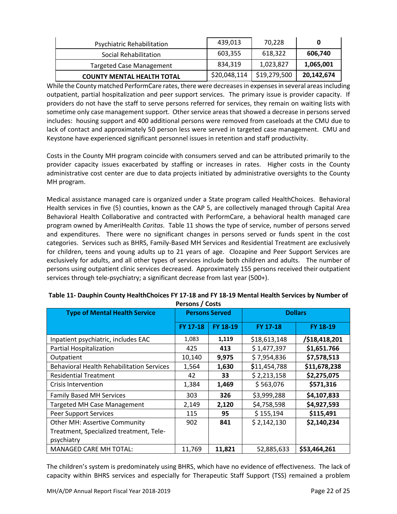| Psychiatric Rehabilitation        | 439,013      | 70.228       |            |
|-----------------------------------|--------------|--------------|------------|
| Social Rehabilitation             | 603,355      | 618.322      | 606,740    |
| <b>Targeted Case Management</b>   | 834,319      | 1,023,827    | 1,065,001  |
| <b>COUNTY MENTAL HEALTH TOTAL</b> | \$20,048,114 | \$19,279,500 | 20,142,674 |

While the County matched PerformCare rates, there were decreases in expenses in several areas including outpatient, partial hospitalization and peer support services. The primary issue is provider capacity. If providers do not have the staff to serve persons referred for services, they remain on waiting lists with sometime only case management support. Other service areas that showed a decrease in persons served includes: housing support and 400 additional persons were removed from caseloads at the CMU due to lack of contact and approximately 50 person less were served in targeted case management. CMU and Keystone have experienced significant personnel issues in retention and staff productivity.

Costs in the County MH program coincide with consumers served and can be attributed primarily to the provider capacity issues exacerbated by staffing or increases in rates. Higher costs in the County administrative cost center are due to data projects initiated by administrative oversights to the County MH program.

Medical assistance managed care is organized under a State program called HealthChoices. Behavioral Health services in five (5) counties, known as the CAP 5, are collectively managed through Capital Area Behavioral Health Collaborative and contracted with PerformCare, a behavioral health managed care program owned by AmeriHealth *Caritas*. Table 11 shows the type of service, number of persons served and expenditures. There were no significant changes in persons served or funds spent in the cost categories. Services such as BHRS, Family-Based MH Services and Residential Treatment are exclusively for children, teens and young adults up to 21 years of age. Clozapine and Peer Support Services are exclusively for adults, and all other types of services include both children and adults. The number of persons using outpatient clinic services decreased. Approximately 155 persons received their outpatient services through tele-psychiatry; a significant decrease from last year (500+).

| <b>Type of Mental Health Service</b>             | <b>Persons Served</b> |          | <b>Dollars</b>  |               |
|--------------------------------------------------|-----------------------|----------|-----------------|---------------|
|                                                  | <b>FY 17-18</b>       | FY 18-19 | <b>FY 17-18</b> | FY 18-19      |
| Inpatient psychiatric, includes EAC              | 1,083                 | 1,119    | \$18,613,148    | /\$18,418,201 |
| Partial Hospitalization                          | 425                   | 413      | \$1,477,397     | \$1,651.766   |
| Outpatient                                       | 10,140                | 9,975    | \$7,954,836     | \$7,578,513   |
| <b>Behavioral Health Rehabilitation Services</b> | 1,564                 | 1,630    | \$11,454,788    | \$11,678,238  |
| <b>Residential Treatment</b>                     | 42                    | 33       | \$2,213,158     | \$2,275,075   |
| Crisis Intervention                              | 1,384                 | 1,469    | \$563,076       | \$571,316     |
| <b>Family Based MH Services</b>                  | 303                   | 326      | \$3,999,288     | \$4,107,833   |
| <b>Targeted MH Case Management</b>               | 2,149                 | 2,120    | \$4,758,598     | \$4,927,593   |
| <b>Peer Support Services</b>                     | 115                   | 95       | \$155,194       | \$115,491     |
| <b>Other MH: Assertive Community</b>             | 902                   | 841      | \$2,142,130     | \$2,140,234   |
| Treatment, Specialized treatment, Tele-          |                       |          |                 |               |
| psychiatry                                       |                       |          |                 |               |
| <b>MANAGED CARE MH TOTAL:</b>                    | 11,769                | 11,821   | 52,885,633      | \$53,464,261  |

#### **Table 11- Dauphin County HealthChoices FY 17-18 and FY 18-19 Mental Health Services by Number of Persons / Costs**

The children's system is predominately using BHRS, which have no evidence of effectiveness. The lack of capacity within BHRS services and especially for Therapeutic Staff Support (TSS) remained a problem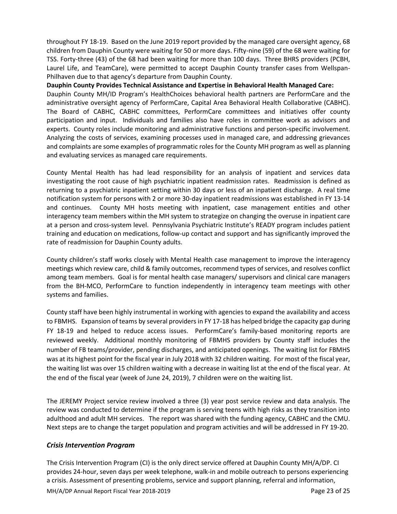throughout FY 18-19. Based on the June 2019 report provided by the managed care oversight agency, 68 children from Dauphin County were waiting for 50 or more days. Fifty-nine (59) of the 68 were waiting for TSS. Forty-three (43) of the 68 had been waiting for more than 100 days. Three BHRS providers (PCBH, Laurel Life, and TeamCare), were permitted to accept Dauphin County transfer cases from Wellspan-Philhaven due to that agency's departure from Dauphin County.

**Dauphin County Provides Technical Assistance and Expertise in Behavioral Health Managed Care:** Dauphin County MH/ID Program's HealthChoices behavioral health partners are PerformCare and the administrative oversight agency of PerformCare, Capital Area Behavioral Health Collaborative (CABHC). The Board of CABHC, CABHC committees, PerformCare committees and initiatives offer county participation and input. Individuals and families also have roles in committee work as advisors and experts. County roles include monitoring and administrative functions and person-specific involvement. Analyzing the costs of services, examining processes used in managed care, and addressing grievances and complaints are some examples of programmatic roles for the County MH program as well as planning and evaluating services as managed care requirements.

County Mental Health has had lead responsibility for an analysis of inpatient and services data investigating the root cause of high psychiatric inpatient readmission rates. Readmission is defined as returning to a psychiatric inpatient setting within 30 days or less of an inpatient discharge. A real time notification system for persons with 2 or more 30-day inpatient readmissions was established in FY 13-14 and continues. County MH hosts meeting with inpatient, case management entities and other interagency team members within the MH system to strategize on changing the overuse in inpatient care at a person and cross-system level. Pennsylvania Psychiatric Institute's READY program includes patient training and education on medications, follow-up contact and support and has significantly improved the rate of readmission for Dauphin County adults.

County children's staff works closely with Mental Health case management to improve the interagency meetings which review care, child & family outcomes, recommend types of services, and resolves conflict among team members. Goal is for mental health case managers/ supervisors and clinical care managers from the BH-MCO, PerformCare to function independently in interagency team meetings with other systems and families.

County staff have been highly instrumental in working with agencies to expand the availability and access to FBMHS. Expansion of teams by several providers in FY 17-18 has helped bridge the capacity gap during FY 18-19 and helped to reduce access issues. PerformCare's family-based monitoring reports are reviewed weekly. Additional monthly monitoring of FBMHS providers by County staff includes the number of FB teams/provider, pending discharges, and anticipated openings. The waiting list for FBMHS was at its highest point for the fiscal year in July 2018 with 32 children waiting. For most of the fiscal year, the waiting list was over 15 children waiting with a decrease in waiting list at the end of the fiscal year. At the end of the fiscal year (week of June 24, 2019), 7 children were on the waiting list.

The JEREMY Project service review involved a three (3) year post service review and data analysis. The review was conducted to determine if the program is serving teens with high risks as they transition into adulthood and adult MH services. The report was shared with the funding agency, CABHC and the CMU. Next steps are to change the target population and program activities and will be addressed in FY 19-20.

## *Crisis Intervention Program*

The Crisis Intervention Program (CI) is the only direct service offered at Dauphin County MH/A/DP. CI provides 24-hour, seven days per week telephone, walk-in and mobile outreach to persons experiencing a crisis. Assessment of presenting problems, service and support planning, referral and information,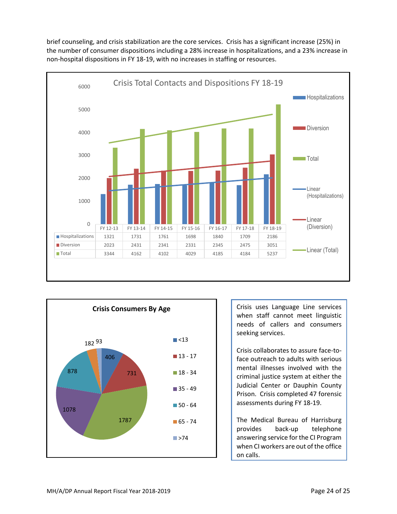brief counseling, and crisis stabilization are the core services. Crisis has a significant increase (25%) in the number of consumer dispositions including a 28% increase in hospitalizations, and a 23% increase in non-hospital dispositions in FY 18-19, with no increases in staffing or resources.





Crisis uses Language Line services when staff cannot meet linguistic needs of callers and consumers seeking services.

Crisis collaborates to assure face-toface outreach to adults with serious mental illnesses involved with the criminal justice system at either the Judicial Center or Dauphin County Prison. Crisis completed 47 forensic assessments during FY 18-19.

The Medical Bureau of Harrisburg provides back-up telephone answering service for the CI Program when CI workers are out of the office on calls.